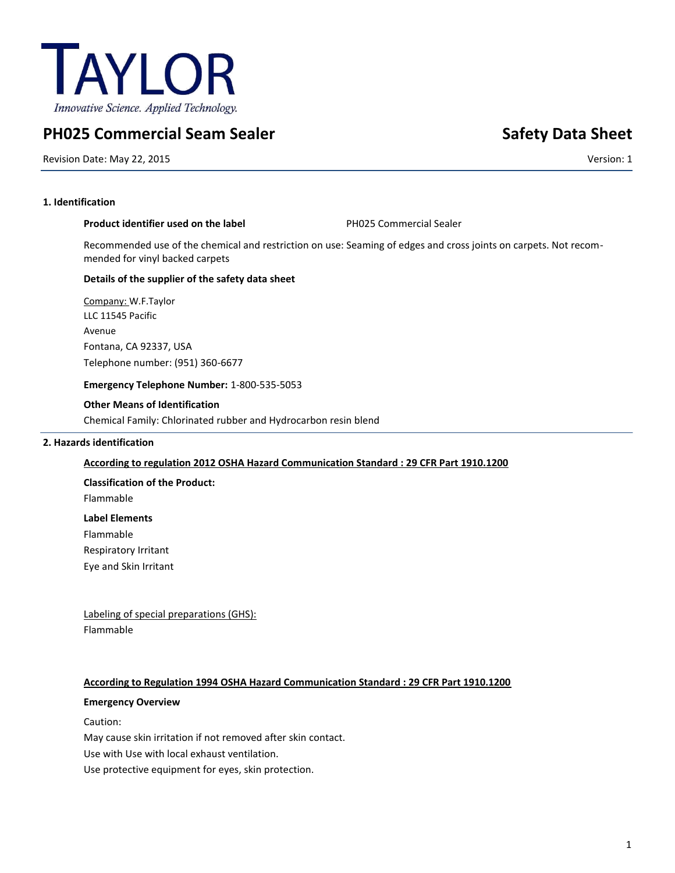

# **PH025 Commercial Seam Sealer Safety Data Sheet Safety Data Sheet**

Revision Date: May 22, 2015 Version: 1

# **1. Identification**

# **Product identifier used on the label PH025 Commercial Sealer**

Recommended use of the chemical and restriction on use: Seaming of edges and cross joints on carpets. Not recommended for vinyl backed carpets

### **Details of the supplier of the safety data sheet**

Company: W.F.Taylor LLC 11545 Pacific Avenue Fontana, CA 92337, USA Telephone number: (951) 360-6677

### **Emergency Telephone Number:** 1-800-535-5053

# **Other Means of Identification**

Chemical Family: Chlorinated rubber and Hydrocarbon resin blend

# **2. Hazards identification**

# **According to regulation 2012 OSHA Hazard Communication Standard : 29 CFR Part 1910.1200**

**Classification of the Product:**

Flammable

**Label Elements**

Flammable

Respiratory Irritant

Eye and Skin Irritant

Labeling of special preparations (GHS): Flammable

# **According to Regulation 1994 OSHA Hazard Communication Standard : 29 CFR Part 1910.1200**

### **Emergency Overview**

Caution:

May cause skin irritation if not removed after skin contact.

Use with Use with local exhaust ventilation.

Use protective equipment for eyes, skin protection.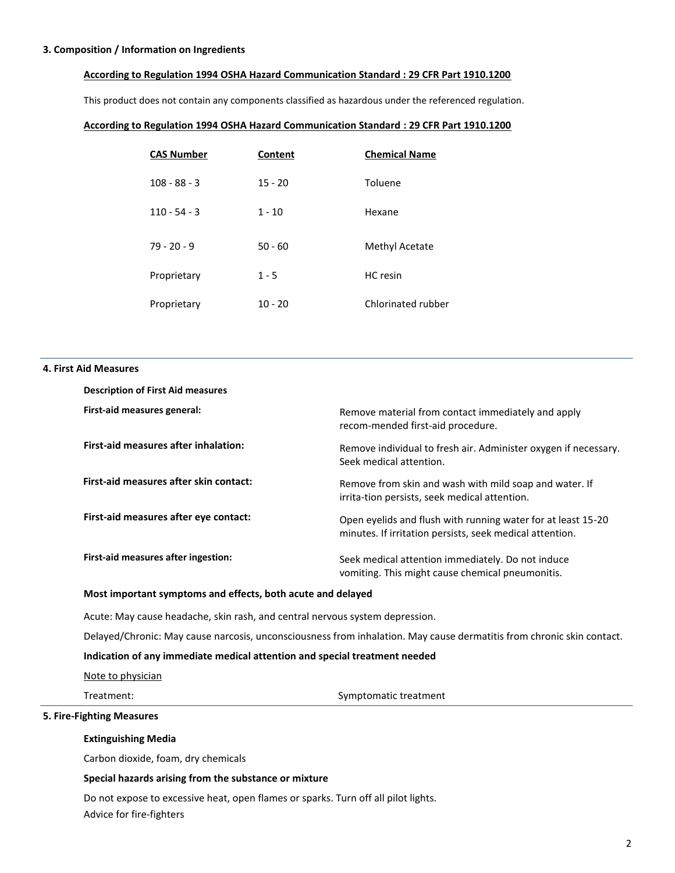#### **3. Composition / Information on Ingredients**

#### **According to Regulation 1994 OSHA Hazard Communication Standard : 29 CFR Part 1910.1200**

This product does not contain any components classified as hazardous under the referenced regulation.

#### **According to Regulation 1994 OSHA Hazard Communication Standard : 29 CFR Part 1910.1200**

| <b>CAS Number</b> | Content   | <b>Chemical Name</b> |
|-------------------|-----------|----------------------|
| $108 - 88 - 3$    | $15 - 20$ | Toluene              |
| $110 - 54 - 3$    | $1 - 10$  | Hexane               |
| $79 - 20 - 9$     | $50 - 60$ | Methyl Acetate       |
| Proprietary       | $1 - 5$   | HC resin             |
| Proprietary       | $10 - 20$ | Chlorinated rubber   |

#### **4. First Aid Measures**

| <b>Description of First Aid measures</b> |                                                                                                                          |
|------------------------------------------|--------------------------------------------------------------------------------------------------------------------------|
| First-aid measures general:              | Remove material from contact immediately and apply<br>recom-mended first-aid procedure.                                  |
| First-aid measures after inhalation:     | Remove individual to fresh air. Administer oxygen if necessary.<br>Seek medical attention.                               |
| First-aid measures after skin contact:   | Remove from skin and wash with mild soap and water. If<br>irrita-tion persists, seek medical attention.                  |
| First-aid measures after eye contact:    | Open evelids and flush with running water for at least 15-20<br>minutes. If irritation persists, seek medical attention. |
| First-aid measures after ingestion:      | Seek medical attention immediately. Do not induce<br>vomiting. This might cause chemical pneumonitis.                    |

# **Most important symptoms and effects, both acute and delayed**

Acute: May cause headache, skin rash, and central nervous system depression.

Delayed/Chronic: May cause narcosis, unconsciousness from inhalation. May cause dermatitis from chronic skin contact.

# **Indication of any immediate medical attention and special treatment needed**

Note to physician

Treatment: Symptomatic treatment

# **5. Fire-Fighting Measures**

#### **Extinguishing Media**

Carbon dioxide, foam, dry chemicals

#### **Special hazards arising from the substance or mixture**

Do not expose to excessive heat, open flames or sparks. Turn off all pilot lights. Advice for fire-fighters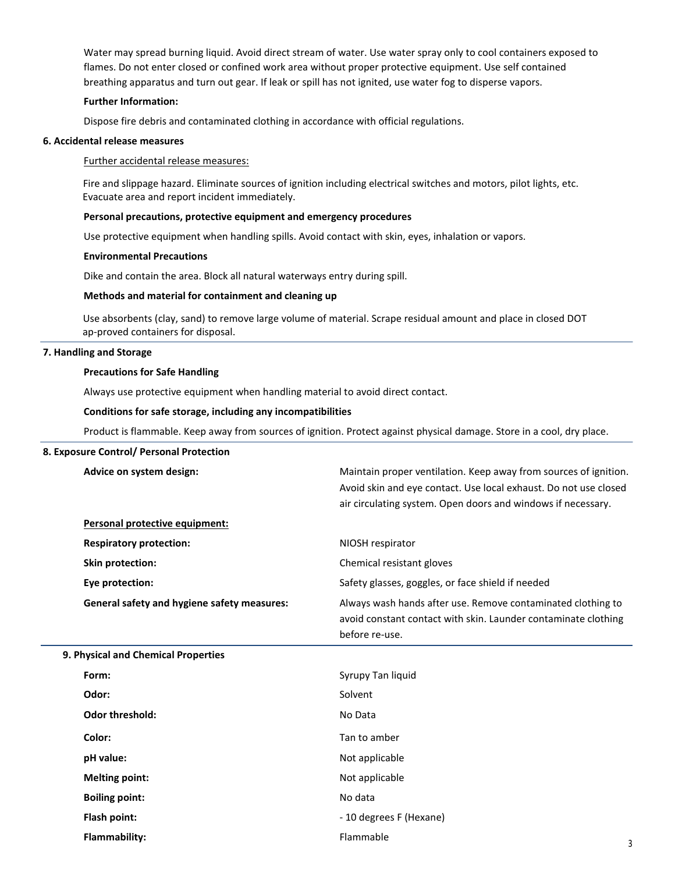Water may spread burning liquid. Avoid direct stream of water. Use water spray only to cool containers exposed to flames. Do not enter closed or confined work area without proper protective equipment. Use self contained breathing apparatus and turn out gear. If leak or spill has not ignited, use water fog to disperse vapors.

# **Further Information:**

Dispose fire debris and contaminated clothing in accordance with official regulations.

### **6. Accidental release measures**

### Further accidental release measures:

Fire and slippage hazard. Eliminate sources of ignition including electrical switches and motors, pilot lights, etc. Evacuate area and report incident immediately.

#### **Personal precautions, protective equipment and emergency procedures**

Use protective equipment when handling spills. Avoid contact with skin, eyes, inhalation or vapors.

#### **Environmental Precautions**

Dike and contain the area. Block all natural waterways entry during spill.

#### **Methods and material for containment and cleaning up**

Use absorbents (clay, sand) to remove large volume of material. Scrape residual amount and place in closed DOT ap-proved containers for disposal.

### **7. Handling and Storage**

#### **Precautions for Safe Handling**

Always use protective equipment when handling material to avoid direct contact.

#### **Conditions for safe storage, including any incompatibilities**

Product is flammable. Keep away from sources of ignition. Protect against physical damage. Store in a cool, dry place.

#### **8. Exposure Control/ Personal Protection**

| Advice on system design:                           | Maintain proper ventilation. Keep away from sources of ignition.<br>Avoid skin and eye contact. Use local exhaust. Do not use closed<br>air circulating system. Open doors and windows if necessary. |   |
|----------------------------------------------------|------------------------------------------------------------------------------------------------------------------------------------------------------------------------------------------------------|---|
| Personal protective equipment:                     |                                                                                                                                                                                                      |   |
| <b>Respiratory protection:</b>                     | NIOSH respirator                                                                                                                                                                                     |   |
| Skin protection:                                   | Chemical resistant gloves                                                                                                                                                                            |   |
| Eye protection:                                    | Safety glasses, goggles, or face shield if needed                                                                                                                                                    |   |
| <b>General safety and hygiene safety measures:</b> | Always wash hands after use. Remove contaminated clothing to<br>avoid constant contact with skin. Launder contaminate clothing<br>before re-use.                                                     |   |
| 9. Physical and Chemical Properties                |                                                                                                                                                                                                      |   |
| Form:                                              | Syrupy Tan liquid                                                                                                                                                                                    |   |
| Odor:                                              | Solvent                                                                                                                                                                                              |   |
| <b>Odor threshold:</b>                             | No Data                                                                                                                                                                                              |   |
| Color:                                             | Tan to amber                                                                                                                                                                                         |   |
| pH value:                                          | Not applicable                                                                                                                                                                                       |   |
| <b>Melting point:</b>                              | Not applicable                                                                                                                                                                                       |   |
| <b>Boiling point:</b>                              | No data                                                                                                                                                                                              |   |
| Flash point:                                       | - 10 degrees F (Hexane)                                                                                                                                                                              |   |
| Flammability:                                      | Flammable                                                                                                                                                                                            | 3 |
|                                                    |                                                                                                                                                                                                      |   |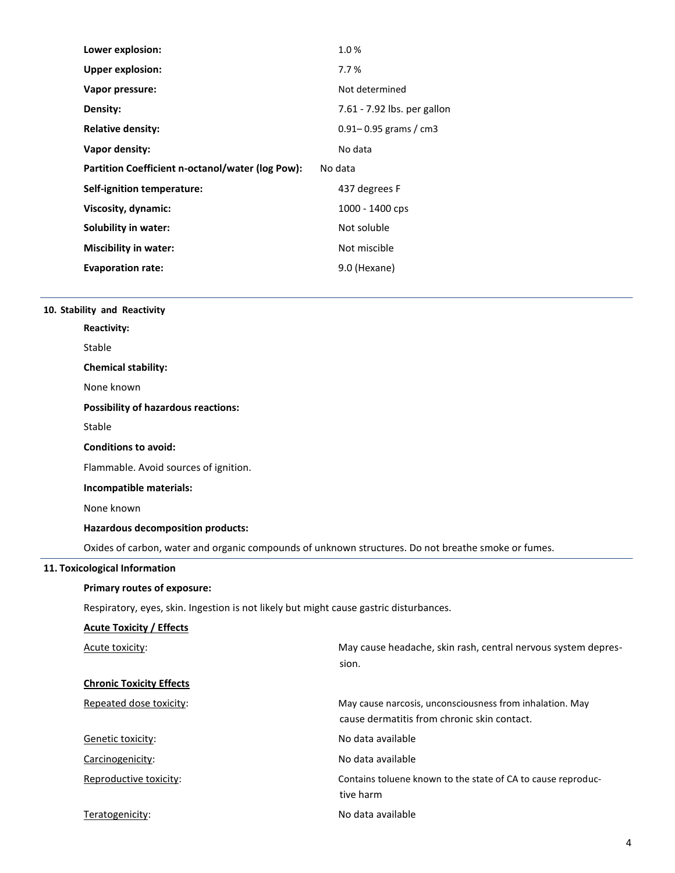| Lower explosion:                                 | 1.0%                        |  |
|--------------------------------------------------|-----------------------------|--|
| <b>Upper explosion:</b>                          | 7.7%                        |  |
| Vapor pressure:                                  | Not determined              |  |
| Density:                                         | 7.61 - 7.92 lbs. per gallon |  |
| <b>Relative density:</b>                         | $0.91 - 0.95$ grams / cm3   |  |
| Vapor density:                                   | No data                     |  |
| Partition Coefficient n-octanol/water (log Pow): | No data                     |  |
| Self-ignition temperature:                       | 437 degrees F               |  |
| Viscosity, dynamic:                              |                             |  |
|                                                  | 1000 - 1400 cps             |  |
| Solubility in water:                             | Not soluble                 |  |
| <b>Miscibility in water:</b>                     | Not miscible                |  |
| <b>Evaporation rate:</b>                         | 9.0 (Hexane)                |  |

# **10. Stability and Reactivity**

| <b>Reactivity:</b>                                                                                  |                                                                                                         |
|-----------------------------------------------------------------------------------------------------|---------------------------------------------------------------------------------------------------------|
| Stable                                                                                              |                                                                                                         |
| <b>Chemical stability:</b>                                                                          |                                                                                                         |
| None known                                                                                          |                                                                                                         |
| <b>Possibility of hazardous reactions:</b>                                                          |                                                                                                         |
| Stable                                                                                              |                                                                                                         |
| <b>Conditions to avoid:</b>                                                                         |                                                                                                         |
| Flammable. Avoid sources of ignition.                                                               |                                                                                                         |
| Incompatible materials:                                                                             |                                                                                                         |
| None known                                                                                          |                                                                                                         |
| Hazardous decomposition products:                                                                   |                                                                                                         |
| Oxides of carbon, water and organic compounds of unknown structures. Do not breathe smoke or fumes. |                                                                                                         |
| 11. Toxicological Information                                                                       |                                                                                                         |
| Primary routes of exposure:                                                                         |                                                                                                         |
| Respiratory, eyes, skin. Ingestion is not likely but might cause gastric disturbances.              |                                                                                                         |
| <b>Acute Toxicity / Effects</b>                                                                     |                                                                                                         |
| Acute toxicity:                                                                                     | May cause headache, skin rash, central nervous system depres-<br>sion.                                  |
| <b>Chronic Toxicity Effects</b>                                                                     |                                                                                                         |
| Repeated dose toxicity:                                                                             | May cause narcosis, unconsciousness from inhalation. May<br>cause dermatitis from chronic skin contact. |
| Genetic toxicity:                                                                                   | No data available                                                                                       |
| Carcinogenicity:                                                                                    | No data available                                                                                       |
| Reproductive toxicity:                                                                              | Contains toluene known to the state of CA to cause reproduc-<br>tive harm                               |
| Teratogenicity:                                                                                     | No data available                                                                                       |